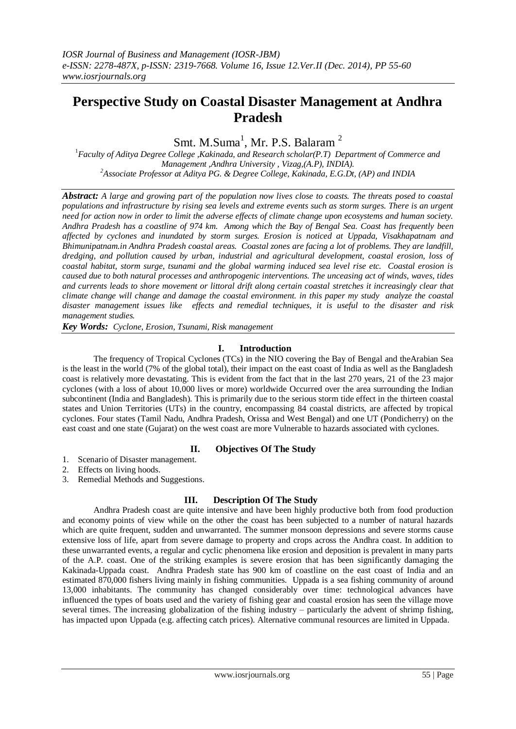# **Perspective Study on Coastal Disaster Management at Andhra Pradesh**

Smt. M.Suma<sup>1</sup>, Mr. P.S. Balaram<sup>2</sup>

<sup>1</sup>*Faculty of Aditya Degree College ,Kakinada, and Research scholar(P.T) Department of Commerce and Management ,Andhra University , Vizag,(A.P), INDIA). <sup>2</sup>Associate Professor at Aditya PG. & Degree College, Kakinada, E.G.Dt, (AP) and INDIA*

*Abstract: A large and growing part of the population now lives close to coasts. The threats posed to coastal populations and infrastructure by rising sea levels and extreme events such as storm surges. There is an urgent need for action now in order to limit the adverse effects of climate change upon ecosystems and human society. Andhra Pradesh has a coastline of 974 km. Among which the Bay of Bengal Sea. Coast has frequently been affected by cyclones and inundated by storm surges. Erosion is noticed at Uppada, Visakhapatnam and Bhimunipatnam.in Andhra Pradesh coastal areas. Coastal zones are facing a lot of problems. They are landfill, dredging, and pollution caused by urban, industrial and agricultural development, coastal erosion, loss of coastal habitat, storm surge, tsunami and the global warming induced sea level rise etc. Coastal erosion is caused due to both natural processes and anthropogenic interventions. The unceasing act of winds, waves, tides and currents leads to shore movement or littoral drift along certain coastal stretches it increasingly clear that climate change will change and damage the coastal environment. in this paper my study analyze the coastal disaster management issues like effects and remedial techniques, it is useful to the disaster and risk management studies.*

*Key Words: Cyclone, Erosion, Tsunami, Risk management* 

# **I. Introduction**

The frequency of Tropical Cyclones (TCs) in the NIO covering the Bay of Bengal and theArabian Sea is the least in the world (7% of the global total), their impact on the east coast of India as well as the Bangladesh coast is relatively more devastating. This is evident from the fact that in the last 270 years, 21 of the 23 major cyclones (with a loss of about 10,000 lives or more) worldwide Occurred over the area surrounding the Indian subcontinent (India and Bangladesh). This is primarily due to the serious storm tide effect in the thirteen coastal states and Union Territories (UTs) in the country, encompassing 84 coastal districts, are affected by tropical cyclones. Four states (Tamil Nadu, Andhra Pradesh, Orissa and West Bengal) and one UT (Pondicherry) on the east coast and one state (Gujarat) on the west coast are more Vulnerable to hazards associated with cyclones.

# **II. Objectives Of The Study**

- 1. Scenario of Disaster management.
- 2. Effects on living hoods.
- 3. Remedial Methods and Suggestions.

# **III. Description Of The Study**

Andhra Pradesh coast are quite intensive and have been highly productive both from food production and economy points of view while on the other the coast has been subjected to a number of natural hazards which are quite frequent, sudden and unwarranted. The summer monsoon depressions and severe storms cause extensive loss of life, apart from severe damage to property and crops across the Andhra coast. In addition to these unwarranted events, a regular and cyclic phenomena like erosion and deposition is prevalent in many parts of the A.P. coast. One of the striking examples is severe erosion that has been significantly damaging the Kakinada-Uppada coast. Andhra Pradesh state has 900 km of coastline on the east coast of India and an estimated 870,000 fishers living mainly in fishing communities. Uppada is a sea fishing community of around 13,000 inhabitants. The community has changed considerably over time: technological advances have influenced the types of boats used and the variety of fishing gear and coastal erosion has seen the village move several times. The increasing globalization of the fishing industry – particularly the advent of shrimp fishing, has impacted upon Uppada (e.g. affecting catch prices). Alternative communal resources are limited in Uppada.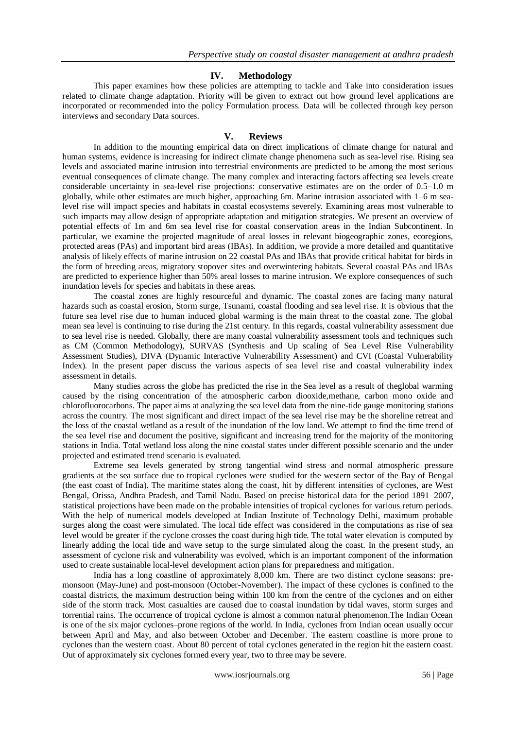# **IV. Methodology**

This paper examines how these policies are attempting to tackle and Take into consideration issues related to climate change adaptation. Priority will be given to extract out how ground level applications are incorporated or recommended into the policy Formulation process. Data will be collected through key person interviews and secondary Data sources.

#### **V. Reviews**

In addition to the mounting empirical data on direct implications of climate change for natural and human systems, evidence is increasing for indirect climate change phenomena such as sea-level rise. Rising sea levels and associated marine intrusion into terrestrial environments are predicted to be among the most serious eventual consequences of climate change. The many complex and interacting factors affecting sea levels create considerable uncertainty in sea-level rise projections: conservative estimates are on the order of 0.5–1.0 m globally, while other estimates are much higher, approaching 6m. Marine intrusion associated with 1–6 m sealevel rise will impact species and habitats in coastal ecosystems severely. Examining areas most vulnerable to such impacts may allow design of appropriate adaptation and mitigation strategies. We present an overview of potential effects of 1m and 6m sea level rise for coastal conservation areas in the Indian Subcontinent. In particular, we examine the projected magnitude of areal losses in relevant biogeographic zones, ecoregions, protected areas (PAs) and important bird areas (IBAs). In addition, we provide a more detailed and quantitative analysis of likely effects of marine intrusion on 22 coastal PAs and IBAs that provide critical habitat for birds in the form of breeding areas, migratory stopover sites and overwintering habitats. Several coastal PAs and IBAs are predicted to experience higher than 50% areal losses to marine intrusion. We explore consequences of such inundation levels for species and habitats in these areas.

The coastal zones are highly resourceful and dynamic. The coastal zones are facing many natural hazards such as coastal erosion, Storm surge, Tsunami, coastal flooding and sea level rise. It is obvious that the future sea level rise due to human induced global warming is the main threat to the coastal zone. The global mean sea level is continuing to rise during the 21st century. In this regards, coastal vulnerability assessment due to sea level rise is needed. Globally, there are many coastal vulnerability assessment tools and techniques such as CM (Common Methodology), SURVAS (Synthesis and Up scaling of Sea Level Rise Vulnerability Assessment Studies), DIVA (Dynamic Interactive Vulnerability Assessment) and CVI (Coastal Vulnerability Index). In the present paper discuss the various aspects of sea level rise and coastal vulnerability index assessment in details.

Many studies across the globe has predicted the rise in the Sea level as a result of theglobal warming caused by the rising concentration of the atmospheric carbon diooxide,methane, carbon mono oxide and chlorofluorocarbons. The paper aims at analyzing the sea level data from the nine-tide gauge monitoring stations across the country. The most significant and direct impact of the sea level rise may be the shoreline retreat and the loss of the coastal wetland as a result of the inundation of the low land. We attempt to find the time trend of the sea level rise and document the positive, significant and increasing trend for the majority of the monitoring stations in India. Total wetland loss along the nine coastal states under different possible scenario and the under projected and estimated trend scenario is evaluated.

Extreme sea levels generated by strong tangential wind stress and normal atmospheric pressure gradients at the sea surface due to tropical cyclones were studied for the western sector of the Bay of Bengal (the east coast of India). The maritime states along the coast, hit by different intensities of cyclones, are West Bengal, Orissa, Andhra Pradesh, and Tamil Nadu. Based on precise historical data for the period 1891–2007, statistical projections have been made on the probable intensities of tropical cyclones for various return periods. With the help of numerical models developed at Indian Institute of Technology Delhi, maximum probable surges along the coast were simulated. The local tide effect was considered in the computations as rise of sea level would be greater if the cyclone crosses the coast during high tide. The total water elevation is computed by linearly adding the local tide and wave setup to the surge simulated along the coast. In the present study, an assessment of cyclone risk and vulnerability was evolved, which is an important component of the information used to create sustainable local-level development action plans for preparedness and mitigation.

India has a long coastline of approximately 8,000 km. There are two distinct cyclone seasons: premonsoon (May-June) and post-monsoon (October-November). The impact of these cyclones is confined to the coastal districts, the maximum destruction being within 100 km from the centre of the cyclones and on either side of the storm track. Most casualties are caused due to coastal inundation by tidal waves, storm surges and torrential rains. The occurrence of tropical cyclone is almost a common natural phenomenon.The Indian Ocean is one of the six major cyclones–prone regions of the world. In India, cyclones from Indian ocean usually occur between April and May, and also between October and December. The eastern coastline is more prone to cyclones than the western coast. About 80 percent of total cyclones generated in the region hit the eastern coast. Out of approximately six cyclones formed every year, two to three may be severe.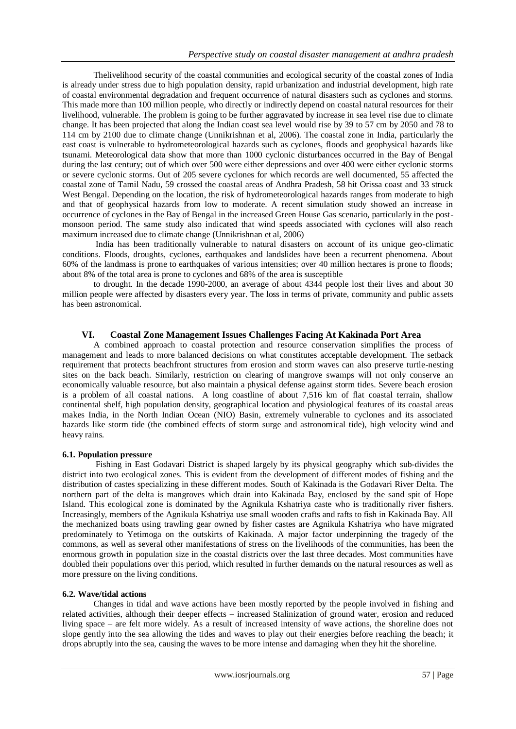Thelivelihood security of the coastal communities and ecological security of the coastal zones of India is already under stress due to high population density, rapid urbanization and industrial development, high rate of coastal environmental degradation and frequent occurrence of natural disasters such as cyclones and storms. This made more than 100 million people, who directly or indirectly depend on coastal natural resources for their livelihood, vulnerable. The problem is going to be further aggravated by increase in sea level rise due to climate change. It has been projected that along the Indian coast sea level would rise by 39 to 57 cm by 2050 and 78 to 114 cm by 2100 due to climate change (Unnikrishnan et al, 2006). The coastal zone in India, particularly the east coast is vulnerable to hydrometeorological hazards such as cyclones, floods and geophysical hazards like tsunami. Meteorological data show that more than 1000 cyclonic disturbances occurred in the Bay of Bengal during the last century; out of which over 500 were either depressions and over 400 were either cyclonic storms or severe cyclonic storms. Out of 205 severe cyclones for which records are well documented, 55 affected the coastal zone of Tamil Nadu, 59 crossed the coastal areas of Andhra Pradesh, 58 hit Orissa coast and 33 struck West Bengal. Depending on the location, the risk of hydrometeorological hazards ranges from moderate to high and that of geophysical hazards from low to moderate. A recent simulation study showed an increase in occurrence of cyclones in the Bay of Bengal in the increased Green House Gas scenario, particularly in the postmonsoon period. The same study also indicated that wind speeds associated with cyclones will also reach maximum increased due to climate change (Unnikrishnan et al, 2006)

India has been traditionally vulnerable to natural disasters on account of its unique geo-climatic conditions. Floods, droughts, cyclones, earthquakes and landslides have been a recurrent phenomena. About 60% of the landmass is prone to earthquakes of various intensities; over 40 million hectares is prone to floods; about 8% of the total area is prone to cyclones and 68% of the area is susceptible

to drought. In the decade 1990-2000, an average of about 4344 people lost their lives and about 30 million people were affected by disasters every year. The loss in terms of private, community and public assets has been astronomical.

# **VI. Coastal Zone Management Issues Challenges Facing At Kakinada Port Area**

A combined approach to coastal protection and resource conservation simplifies the process of management and leads to more balanced decisions on what constitutes acceptable development. The setback requirement that protects beachfront structures from erosion and storm waves can also preserve turtle-nesting sites on the back beach. Similarly, restriction on clearing of mangrove swamps will not only conserve an economically valuable resource, but also maintain a physical defense against storm tides. Severe beach erosion is a problem of all coastal nations. A long coastline of about 7,516 km of flat coastal terrain, shallow continental shelf, high population density, geographical location and physiological features of its coastal areas makes India, in the North Indian Ocean (NIO) Basin, extremely vulnerable to cyclones and its associated hazards like storm tide (the combined effects of storm surge and astronomical tide), high velocity wind and heavy rains.

# **6.1. Population pressure**

Fishing in East Godavari District is shaped largely by its physical geography which sub-divides the district into two ecological zones. This is evident from the development of different modes of fishing and the distribution of castes specializing in these different modes. South of Kakinada is the Godavari River Delta. The northern part of the delta is mangroves which drain into Kakinada Bay, enclosed by the sand spit of Hope Island. This ecological zone is dominated by the Agnikula Kshatriya caste who is traditionally river fishers. Increasingly, members of the Agnikula Kshatriya use small wooden crafts and rafts to fish in Kakinada Bay. All the mechanized boats using trawling gear owned by fisher castes are Agnikula Kshatriya who have migrated predominately to Yetimoga on the outskirts of Kakinada. A major factor underpinning the tragedy of the commons, as well as several other manifestations of stress on the livelihoods of the communities, has been the enormous growth in population size in the coastal districts over the last three decades. Most communities have doubled their populations over this period, which resulted in further demands on the natural resources as well as more pressure on the living conditions.

# **6.2. Wave/tidal actions**

Changes in tidal and wave actions have been mostly reported by the people involved in fishing and related activities, although their deeper effects – increased Stalinization of ground water, erosion and reduced living space – are felt more widely. As a result of increased intensity of wave actions, the shoreline does not slope gently into the sea allowing the tides and waves to play out their energies before reaching the beach; it drops abruptly into the sea, causing the waves to be more intense and damaging when they hit the shoreline.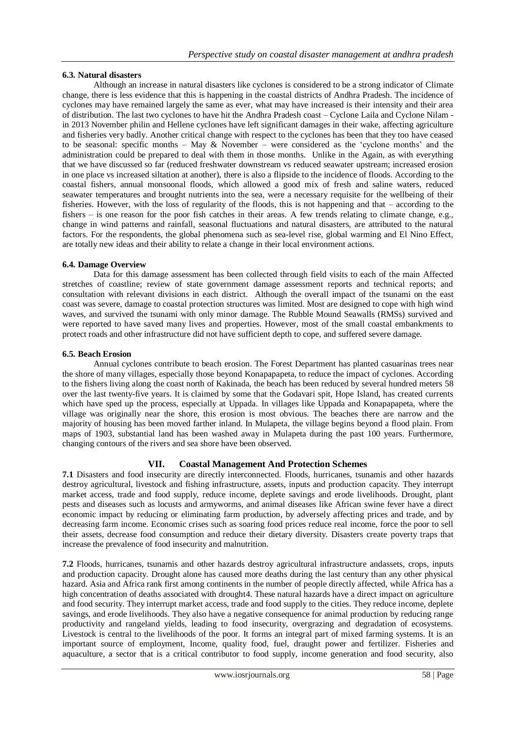# **6.3. Natural disasters**

Although an increase in natural disasters like cyclones is considered to be a strong indicator of Climate change, there is less evidence that this is happening in the coastal districts of Andhra Pradesh. The incidence of cyclones may have remained largely the same as ever, what may have increased is their intensity and their area of distribution. The last two cyclones to have hit the Andhra Pradesh coast – Cyclone Laila and Cyclone Nilam in 2013 November philin and Hellene cyclones have left significant damages in their wake, affecting agriculture and fisheries very badly. Another critical change with respect to the cyclones has been that they too have ceased to be seasonal: specific months – May  $&$  November – were considered as the 'cyclone months' and the administration could be prepared to deal with them in those months. Unlike in the Again, as with everything that we have discussed so far (reduced freshwater downstream vs reduced seawater upstream; increased erosion in one place vs increased siltation at another), there is also a flipside to the incidence of floods. According to the coastal fishers, annual monsoonal floods, which allowed a good mix of fresh and saline waters, reduced seawater temperatures and brought nutrients into the sea, were a necessary requisite for the wellbeing of their fisheries. However, with the loss of regularity of the floods, this is not happening and that – according to the fishers – is one reason for the poor fish catches in their areas. A few trends relating to climate change, e.g., change in wind patterns and rainfall, seasonal fluctuations and natural disasters, are attributed to the natural factors. For the respondents, the global phenomena such as sea-level rise, global warming and El Nino Effect, are totally new ideas and their ability to relate a change in their local environment actions.

# **6.4. Damage Overview**

Data for this damage assessment has been collected through field visits to each of the main Affected stretches of coastline; review of state government damage assessment reports and technical reports; and consultation with relevant divisions in each district. Although the overall impact of the tsunami on the east coast was severe, damage to coastal protection structures was limited. Most are designed to cope with high wind waves, and survived the tsunami with only minor damage. The Rubble Mound Seawalls (RMSs) survived and were reported to have saved many lives and properties. However, most of the small coastal embankments to protect roads and other infrastructure did not have sufficient depth to cope, and suffered severe damage.

#### **6.5. Beach Erosion**

Annual cyclones contribute to beach erosion. The Forest Department has planted casuarinas trees near the shore of many villages, especially those beyond Konapapapeta, to reduce the impact of cyclones. According to the fishers living along the coast north of Kakinada, the beach has been reduced by several hundred meters 58 over the last twenty-five years. It is claimed by some that the Godavari spit, Hope Island, has created currents which have sped up the process, especially at Uppada. In villages like Uppada and Konapapapeta, where the village was originally near the shore, this erosion is most obvious. The beaches there are narrow and the majority of housing has been moved farther inland. In Mulapeta, the village begins beyond a flood plain. From maps of 1903, substantial land has been washed away in Mulapeta during the past 100 years. Furthermore, changing contours of the rivers and sea shore have been observed.

# **VII. Coastal Management And Protection Schemes**

**7.1** Disasters and food insecurity are directly interconnected. Floods, hurricanes, tsunamis and other hazards destroy agricultural, livestock and fishing infrastructure, assets, inputs and production capacity. They interrupt market access, trade and food supply, reduce income, deplete savings and erode livelihoods. Drought, plant pests and diseases such as locusts and armyworms, and animal diseases like African swine fever have a direct economic impact by reducing or eliminating farm production, by adversely affecting prices and trade, and by decreasing farm income. Economic crises such as soaring food prices reduce real income, force the poor to sell their assets, decrease food consumption and reduce their dietary diversity. Disasters create poverty traps that increase the prevalence of food insecurity and malnutrition.

**7.2** Floods, hurricanes, tsunamis and other hazards destroy agricultural infrastructure andassets, crops, inputs and production capacity. Drought alone has caused more deaths during the last century than any other physical hazard. Asia and Africa rank first among continents in the number of people directly affected, while Africa has a high concentration of deaths associated with drought4. These natural hazards have a direct impact on agriculture and food security. They interrupt market access, trade and food supply to the cities. They reduce income, deplete savings, and erode livelihoods. They also have a negative consequence for animal production by reducing range productivity and rangeland yields, leading to food insecurity, overgrazing and degradation of ecosystems. Livestock is central to the livelihoods of the poor. It forms an integral part of mixed farming systems. It is an important source of employment, Income, quality food, fuel, draught power and fertilizer. Fisheries and aquaculture, a sector that is a critical contributor to food supply, income generation and food security, also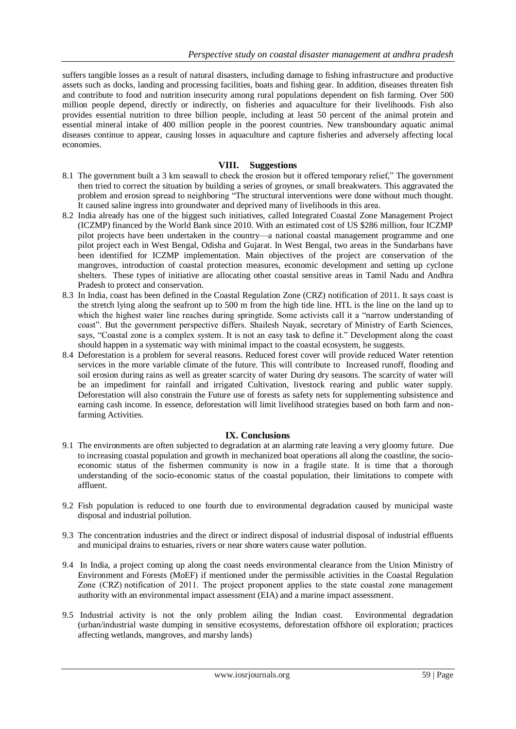suffers tangible losses as a result of natural disasters, including damage to fishing infrastructure and productive assets such as docks, landing and processing facilities, boats and fishing gear. In addition, diseases threaten fish and contribute to food and nutrition insecurity among rural populations dependent on fish farming. Over 500 million people depend, directly or indirectly, on fisheries and aquaculture for their livelihoods. Fish also provides essential nutrition to three billion people, including at least 50 percent of the animal protein and essential mineral intake of 400 million people in the poorest countries. New transboundary aquatic animal diseases continue to appear, causing losses in aquaculture and capture fisheries and adversely affecting local economies.

# **VIII. Suggestions**

- 8.1 The government built a 3 km seawall to check the erosion but it offered temporary relief," The government then tried to correct the situation by building a series of groynes, or small breakwaters. This aggravated the problem and erosion spread to neighboring "The structural interventions were done without much thought. It caused saline ingress into groundwater and deprived many of livelihoods in this area.
- 8.2 India already has one of the biggest such initiatives, called Integrated Coastal Zone Management Project (ICZMP) financed by the World Bank since 2010. With an estimated cost of US \$286 million, four ICZMP pilot projects have been undertaken in the country—a national coastal management programme and one pilot project each in West Bengal, Odisha and Gujarat. In West Bengal, two areas in the Sundarbans have been identified for ICZMP implementation. Main objectives of the project are conservation of the mangroves, introduction of coastal protection measures, economic development and setting up cyclone shelters. These types of initiative are allocating other coastal sensitive areas in Tamil Nadu and Andhra Pradesh to protect and conservation.
- 8.3 In India, coast has been defined in the Coastal Regulation Zone (CRZ) notification of 2011. It says coast is the stretch lying along the seafront up to 500 m from the high tide line. HTL is the line on the land up to which the highest water line reaches during springtide. Some activists call it a "narrow understanding of coast". But the government perspective differs. Shailesh Nayak, secretary of Ministry of Earth Sciences, says, "Coastal zone is a complex system. It is not an easy task to define it." Development along the coast should happen in a systematic way with minimal impact to the coastal ecosystem, he suggests.
- 8.4 Deforestation is a problem for several reasons. Reduced forest cover will provide reduced Water retention services in the more variable climate of the future. This will contribute to Increased runoff, flooding and soil erosion during rains as well as greater scarcity of water During dry seasons. The scarcity of water will be an impediment for rainfall and irrigated Cultivation, livestock rearing and public water supply. Deforestation will also constrain the Future use of forests as safety nets for supplementing subsistence and earning cash income. In essence, deforestation will limit livelihood strategies based on both farm and nonfarming Activities.

# **IX. Conclusions**

- 9.1 The environments are often subjected to degradation at an alarming rate leaving a very gloomy future. Due to increasing coastal population and growth in mechanized boat operations all along the coastline, the socioeconomic status of the fishermen community is now in a fragile state. It is time that a thorough understanding of the socio-economic status of the coastal population, their limitations to compete with affluent.
- 9.2 Fish population is reduced to one fourth due to environmental degradation caused by municipal waste disposal and industrial pollution.
- 9.3 The concentration industries and the direct or indirect disposal of industrial disposal of industrial effluents and municipal drains to estuaries, rivers or near shore waters cause water pollution.
- 9.4 In India, a project coming up along the coast needs environmental clearance from the Union Ministry of Environment and Forests (MoEF) if mentioned under the permissible activities in the Coastal Regulation Zone (CRZ) notification of 2011. The project proponent applies to the state coastal zone management authority with an environmental impact assessment (EIA) and a marine impact assessment.
- 9.5 Industrial activity is not the only problem ailing the Indian coast. Environmental degradation (urban/industrial waste dumping in sensitive ecosystems, deforestation offshore oil exploration; practices affecting wetlands, mangroves, and marshy lands)